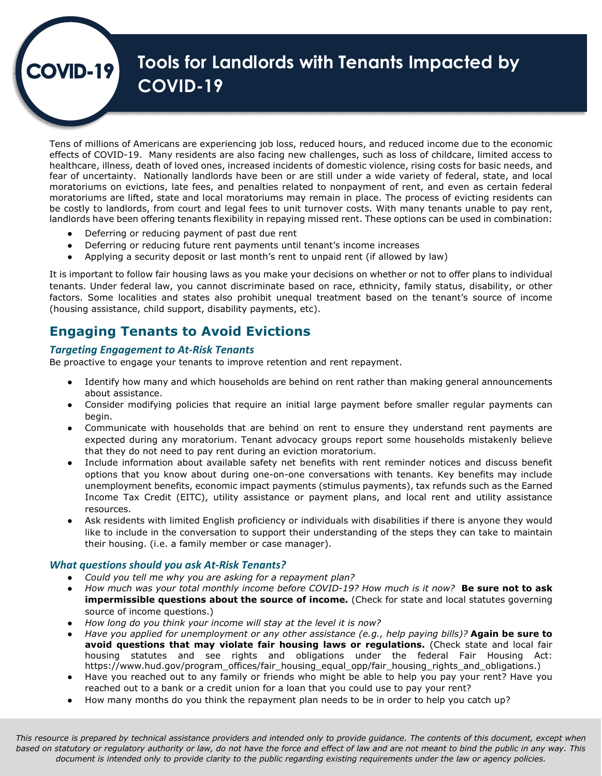# **Tools for Landlords with Tenants Impacted by COVID-19**

Tens of millions of Americans are experiencing job loss, reduced hours, and reduced income due to the economic effects of COVID-19. Many residents are also facing new challenges, such as loss of childcare, limited access to healthcare, illness, death of loved ones, increased incidents of domestic violence, rising costs for basic needs, and fear of uncertainty. Nationally landlords have been or are still under a wide variety of federal, state, and local moratoriums on evictions, late fees, and penalties related to nonpayment of rent, and even as certain federal moratoriums are lifted, state and local moratoriums may remain in place. The process of evicting residents can be costly to landlords, from court and legal fees to unit turnover costs. With many tenants unable to pay rent, landlords have been offering tenants flexibility in repaying missed rent. These options can be used in combination:

- Deferring or reducing payment of past due rent
- Deferring or reducing future rent payments until tenant's income increases
- Applying a security deposit or last month's rent to unpaid rent (if allowed by law)

It is important to follow fair housing laws as you make your decisions on whether or not to offer plans to individual tenants. Under federal law, you cannot discriminate based on race, ethnicity, family status, disability, or other factors. Some localities and states also prohibit unequal treatment based on the tenant's source of income (housing assistance, child support, disability payments, etc).

## **Engaging Tenants to Avoid Evictions**

#### *Targeting Engagement to At-Risk Tenants*

**DVID-19** 

Be proactive to engage your tenants to improve retention and rent repayment.

- Identify how many and which households are behind on rent rather than making general announcements about assistance.
- Consider modifying policies that require an initial large payment before smaller regular payments can begin.
- Communicate with households that are behind on rent to ensure they understand rent payments are expected during any moratorium. Tenant advocacy groups report some households mistakenly believe that they do not need to pay rent during an eviction moratorium.
- Include information about available safety net benefits with rent reminder notices and discuss benefit options that you know about during one-on-one conversations with tenants. Key benefits may include unemployment benefits, economic impact payments (stimulus payments), tax refunds such as the Earned Income Tax Credit (EITC), utility assistance or payment plans, and local rent and utility assistance resources.
- Ask residents with limited English proficiency or individuals with disabilities if there is anyone they would like to include in the conversation to support their understanding of the steps they can take to maintain their housing. (i.e. a family member or case manager).

#### *What questions should you ask At-Risk Tenants?*

- *Could you tell me why you are asking for a repayment plan?*
- *How much was your total monthly income before COVID-19? How much is it now?* **Be sure not to ask impermissible questions about the source of income.** (Check for state and local statutes governing source of income questions.)
- *How long do you think your income will stay at the level it is now?*
- *Have you applied for unemployment or any other assistance (e.g., help paying bills)?* **Again be sure to avoid questions that may violate fair housing laws or regulations.** (Check state and local fair housing statutes and see rights and obligations under the federal Fair Housing Act: https://www.hud.gov/program\_offices/fair\_housing\_equal\_opp/fair\_housing\_rights\_and\_obligations.)
- Have you reached out to any family or friends who might be able to help you pay your rent? Have you reached out to a bank or a credit union for a loan that you could use to pay your rent?
- How many months do you think the repayment plan needs to be in order to help you catch up?

*This resource is prepared by technical assistance providers and intended only to provide guidance. The contents of this document, except when based on statutory or regulatory authority or law, do not have the force and effect of law and are not meant to bind the public in any way. This document is intended only to provide clarity to the public regarding existing requirements under the law or agency policies.*